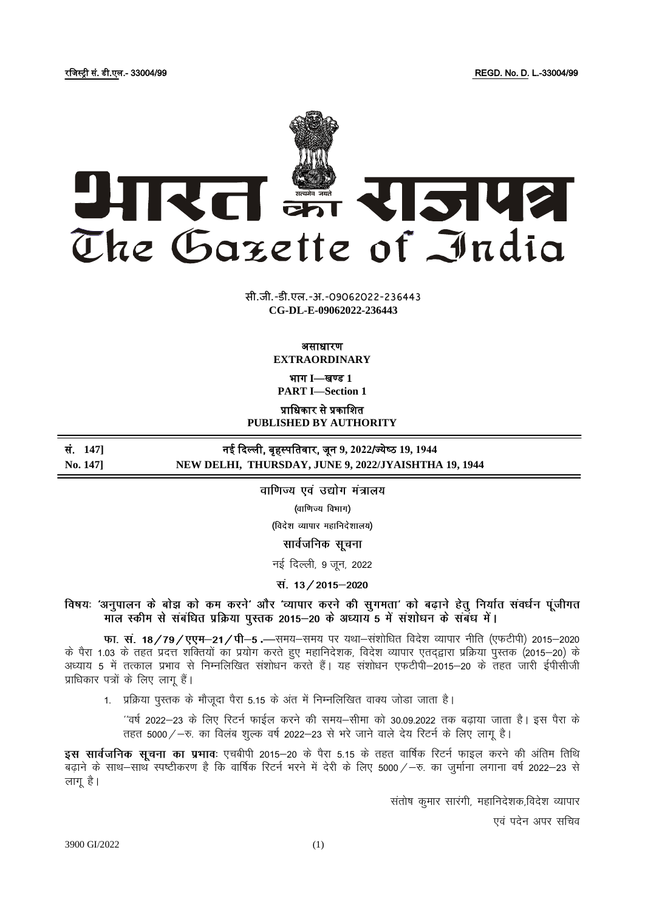REGD. No. D. L.-33004/99



सी.जी.-डी.एल.-अ.-09062022-236443 CG-DL-E-09062022-236443

> असाधारण **EXTRAORDINARY**

भाग I-खण्ड 1

**PART I-Section 1** 

प्राधिकार से प्रकाशित

PUBLISHED BY AUTHORITY नई दिल्ली, बृहस्पतिवार, जून 9, 2022/ज्येष्ठ 19, 1944

NEW DELHI, THURSDAY, JUNE 9, 2022/JYAISHTHA 19, 1944

वाणिज्य एवं उद्योग मंत्रालय

(वाणिज्य विभाग)

(विदेश व्यापार महानिदेशालय)

सार्वजनिक सूचना

नई दिल्ली, 9 जन, 2022

स. 13/2015-2020

विषयः 'अनुपालन के बोझ को कम करने' और 'व्यापार करने की सुगमता' को बढ़ाने हेतु निर्यात संवर्धन पूंजीगत माल स्कीम से संबंधित प्रक्रिया पुस्तक 2015–20 के अध्याय 5 में संशोधन के संबंध में।

फा. सं. 18 / 79 / एएम-21 / पी-5 .-समय-समय पर यथा-संशोधित विदेश व्यापार नीति (एफटीपी) 2015-2020 के पैरा 1.03 के तहत प्रदत्त शक्तियों का प्रयोग करते हुए महानिदेशक, विदेश व्यापार एतदृद्वारा प्रक्रिया पुस्तक (2015–20) के अध्याय 5 में तत्काल प्रभाव से निम्नलिखित संशोधन करते हैं। यह संशोधन एफटीपी–2015–20 के तहत जारी ईपीसीजी प्राधिकार पत्रों के लिए लागू हैं।

1. प्रक्रिया पुस्तक के मौजूदा पैरा 5.15 के अंत में निम्नलिखित वाक्य जोड़ा जाता है।

''वर्ष 2022–23 के लिए रिटर्न फाईल करने की समय–सीमा को 30.09.2022 तक बढ़ाया जाता है। इस पैरा के तहत 5000 / - रु. का विलंब शुल्क वर्ष 2022-23 से भरे जाने वाले देय रिटर्न के लिए लाग है।

इस सार्वजनिक सूचना का प्रभावः एचबीपी 2015–20 के पैरा 5.15 के तहत वार्षिक रिटर्न फाइल करने की अंतिम तिथि बढाने के साथ–साथ स्पष्टीकरण है कि वार्षिक रिटर्न भरने में देरी के लिए 5000 /–रु. का जूर्माना लगाना वर्ष 2022–23 से लाग है।

संतोष कुमार सारंगी, महानिदेशक,विदेश व्यापार

एवं पदेन अपर सचिव

3900 GI/2022

सं. 1471

No. 1471